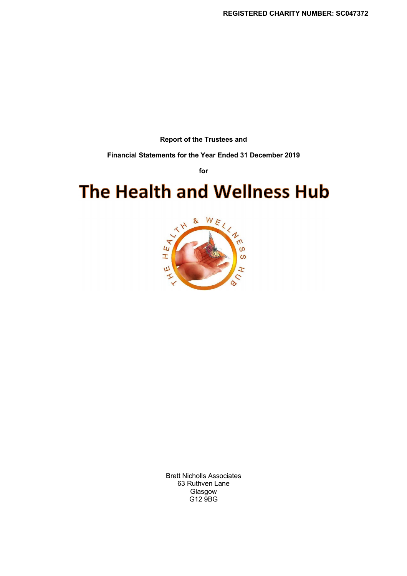**Report of the Trustees and**

**Financial Statements for the Year Ended 31 December 2019**

**for**

# **The Health and Wellness Hub**



Brett Nicholls Associates 63 Ruthven Lane Glasgow G12 9BG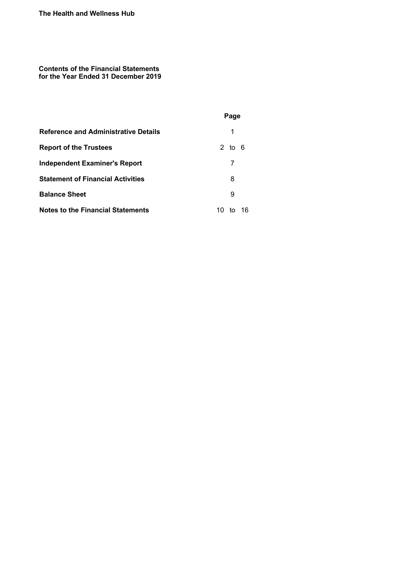**Contents of the Financial Statements for the Year Ended 31 December 2019**

|                                             | Page            |
|---------------------------------------------|-----------------|
| <b>Reference and Administrative Details</b> | 1               |
| <b>Report of the Trustees</b>               | 2 to 6          |
| <b>Independent Examiner's Report</b>        |                 |
| <b>Statement of Financial Activities</b>    | 8               |
| <b>Balance Sheet</b>                        | 9               |
| <b>Notes to the Financial Statements</b>    | 16<br>10.<br>tΩ |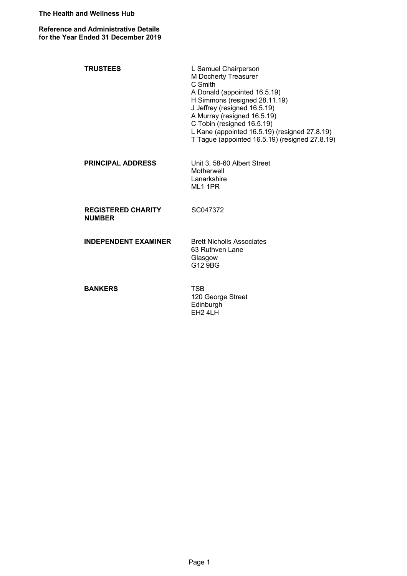**Reference and Administrative Details for the Year Ended 31 December 2019**

| <b>TRUSTEES</b>                            | L Samuel Chairperson<br>M Docherty Treasurer<br>C Smith<br>A Donald (appointed 16.5.19)<br>H Simmons (resigned 28.11.19)<br>J Jeffrey (resigned 16.5.19)<br>A Murray (resigned 16.5.19)<br>C Tobin (resigned 16.5.19)<br>L Kane (appointed 16.5.19) (resigned 27.8.19)<br>T Tague (appointed 16.5.19) (resigned 27.8.19) |
|--------------------------------------------|--------------------------------------------------------------------------------------------------------------------------------------------------------------------------------------------------------------------------------------------------------------------------------------------------------------------------|
| <b>PRINCIPAL ADDRESS</b>                   | Unit 3, 58-60 Albert Street<br>Motherwell<br>Lanarkshire<br>ML1 1PR                                                                                                                                                                                                                                                      |
| <b>REGISTERED CHARITY</b><br><b>NUMBER</b> | SC047372                                                                                                                                                                                                                                                                                                                 |
| <b>INDEPENDENT EXAMINER</b>                | <b>Brett Nicholls Associates</b><br>63 Ruthven Lane<br>Glasgow<br>G12 9BG                                                                                                                                                                                                                                                |
| <b>BANKERS</b>                             | <b>TSB</b><br>120 George Street<br>Edinburgh<br><b>EH2 4LH</b>                                                                                                                                                                                                                                                           |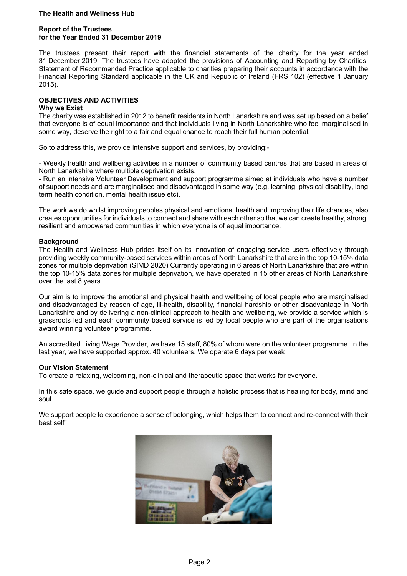#### **Report of the Trustees for the Year Ended 31 December 2019**

The trustees present their report with the financial statements of the charity for the year ended 31 December 2019. The trustees have adopted the provisions of Accounting and Reporting by Charities: Statement of Recommended Practice applicable to charities preparing their accounts in accordance with the Financial Reporting Standard applicable in the UK and Republic of Ireland (FRS 102) (effective 1 January 2015).

## **OBJECTIVES AND ACTIVITIES**

## **Why we Exist**

The charity was established in 2012 to benefit residents in North Lanarkshire and was set up based on a belief that everyone is of equal importance and that individuals living in North Lanarkshire who feel marginalised in some way, deserve the right to a fair and equal chance to reach their full human potential.

So to address this, we provide intensive support and services, by providing:-

- Weekly health and wellbeing activities in a number of community based centres that are based in areas of North Lanarkshire where multiple deprivation exists.

- Run an intensive Volunteer Development and support programme aimed at individuals who have a number of support needs and are marginalised and disadvantaged in some way (e.g. learning, physical disability, long term health condition, mental health issue etc).

The work we do whilst improving peoples physical and emotional health and improving their life chances, also creates opportunities for individuals to connect and share with each other so that we can create healthy, strong, resilient and empowered communities in which everyone is of equal importance.

## **Background**

The Health and Wellness Hub prides itself on its innovation of engaging service users effectively through providing weekly community-based services within areas of North Lanarkshire that are in the top 10-15% data zones for multiple deprivation (SIMD 2020) Currently operating in 6 areas of North Lanarkshire that are within the top 10-15% data zones for multiple deprivation, we have operated in 15 other areas of North Lanarkshire over the last 8 years.

Our aim is to improve the emotional and physical health and wellbeing of local people who are marginalised and disadvantaged by reason of age, ill-health, disability, financial hardship or other disadvantage in North Lanarkshire and by delivering a non-clinical approach to health and wellbeing, we provide a service which is grassroots led and each community based service is led by local people who are part of the organisations award winning volunteer programme.

An accredited Living Wage Provider, we have 15 staff, 80% of whom were on the volunteer programme. In the last year, we have supported approx. 40 volunteers. We operate 6 days per week

#### **Our Vision Statement**

To create a relaxing, welcoming, non-clinical and therapeutic space that works for everyone.

In this safe space, we guide and support people through a holistic process that is healing for body, mind and soul.

We support people to experience a sense of belonging, which helps them to connect and re-connect with their best self"

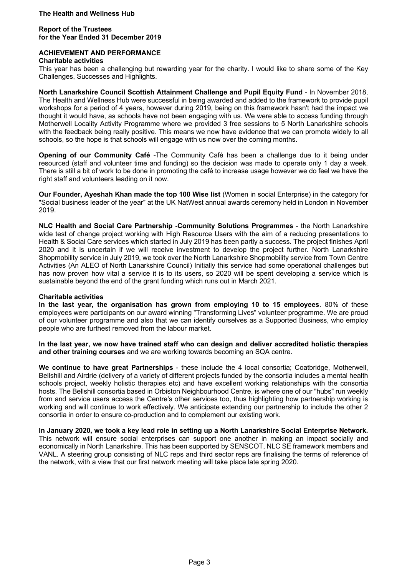#### **Report of the Trustees for the Year Ended 31 December 2019**

# **ACHIEVEMENT AND PERFORMANCE**

#### **Charitable activities**

This year has been a challenging but rewarding year for the charity. I would like to share some of the Key Challenges, Successes and Highlights.

**North Lanarkshire Council Scottish Attainment Challenge and Pupil Equity Fund** - In November 2018, The Health and Wellness Hub were successful in being awarded and added to the framework to provide pupil workshops for a period of 4 years, however during 2019, being on this framework hasn't had the impact we thought it would have, as schools have not been engaging with us. We were able to access funding through Motherwell Locality Activity Programme where we provided 3 free sessions to 5 North Lanarkshire schools with the feedback being really positive. This means we now have evidence that we can promote widely to all schools, so the hope is that schools will engage with us now over the coming months.

**Opening of our Community Café** -The Community Café has been a challenge due to it being under resourced (staff and volunteer time and funding) so the decision was made to operate only 1 day a week. There is still a bit of work to be done in promoting the café to increase usage however we do feel we have the right staff and volunteers leading on it now.

**Our Founder, Ayeshah Khan made the top 100 Wise list** (Women in social Enterprise) in the category for "Social business leader of the year" at the UK NatWest annual awards ceremony held in London in November 2019.

**NLC Health and Social Care Partnership -Community Solutions Programmes** - the North Lanarkshire wide test of change project working with High Resource Users with the aim of a reducing presentations to Health & Social Care services which started in July 2019 has been partly a success. The project finishes April 2020 and it is uncertain if we will receive investment to develop the project further. North Lanarkshire Shopmobility service in July 2019, we took over the North Lanarkshire Shopmobility service from Town Centre Activities (An ALEO of North Lanarkshire Council) Initially this service had some operational challenges but has now proven how vital a service it is to its users, so 2020 will be spent developing a service which is sustainable beyond the end of the grant funding which runs out in March 2021.

#### **Charitable activities**

**In the last year, the organisation has grown from employing 10 to 15 employees**. 80% of these employees were participants on our award winning "Transforming Lives" volunteer programme. We are proud of our volunteer programme and also that we can identify ourselves as a Supported Business, who employ people who are furthest removed from the labour market.

**In the last year, we now have trained staff who can design and deliver accredited holistic therapies and other training courses** and we are working towards becoming an SQA centre.

**We continue to have great Partnerships** - these include the 4 local consortia; Coatbridge, Motherwell, Bellshill and Airdrie (delivery of a variety of different projects funded by the consortia includes a mental health schools project, weekly holistic therapies etc) and have excellent working relationships with the consortia hosts. The Bellshill consortia based in Orbiston Neighbourhood Centre, is where one of our "hubs" run weekly from and service users access the Centre's other services too, thus highlighting how partnership working is working and will continue to work effectively. We anticipate extending our partnership to include the other 2 consortia in order to ensure co-production and to complement our existing work.

**In January 2020, we took a key lead role in setting up a North Lanarkshire Social Enterprise Network.** This network will ensure social enterprises can support one another in making an impact socially and economically in North Lanarkshire. This has been supported by SENSCOT, NLC SE framework members and VANL. A steering group consisting of NLC reps and third sector reps are finalising the terms of reference of the network, with a view that our first network meeting will take place late spring 2020.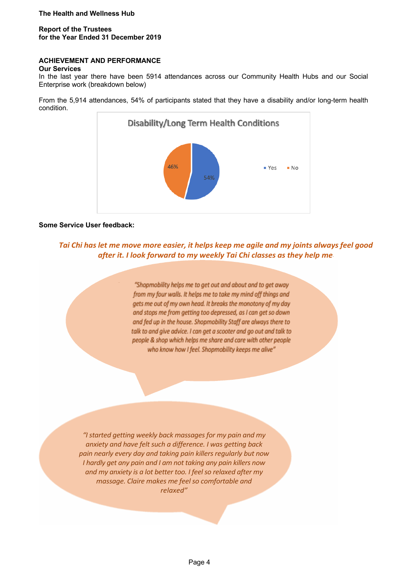## **Report of the Trustees for the Year Ended 31 December 2019**

## **ACHIEVEMENT AND PERFORMANCE**

#### **Our Services**

In the last year there have been 5914 attendances across our Community Health Hubs and our Social Enterprise work (breakdown below)

From the 5,914 attendances, 54% of participants stated that they have a disability and/or long-term health condition.



#### **Some Service User feedback:**

*Tai Chi has let me move more easier, it helps keep me agile and my joints always feel good after it. I look forward to my weekly Tai Chi classes as they help me"*

> "Shopmobility helps me to get out and about and to get away from my four walls. It helps me to take my mind off things and aets me out of my own head. It breaks the monotony of my day and stops me from getting too depressed, as I can get so down and fed up in the house. Shopmobility Staff are always there to talk to and give advice. I can get a scooter and go out and talk to people & shop which helps me share and care with other people who know how I feel. Shopmobility keeps me alive"

*"I started getting weekly back massages for my pain and my anxiety and have felt such a difference. I was getting back pain nearly every day and taking pain killers regularly but now I hardly get any pain and I am not taking any pain killers now and my anxiety is a lot better too. I feel so relaxed after my massage. Claire makes me feel so comfortable and relaxed"*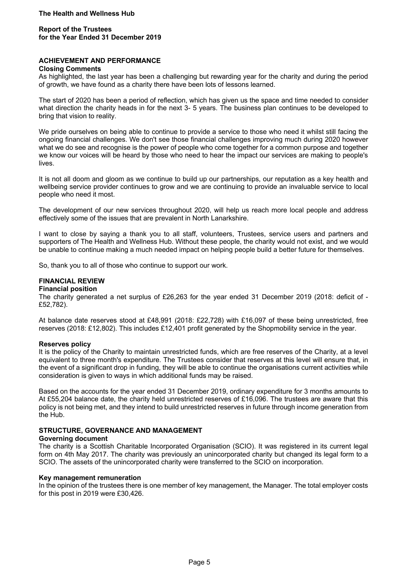## **Report of the Trustees for the Year Ended 31 December 2019**

## **ACHIEVEMENT AND PERFORMANCE**

#### **Closing Comments**

As highlighted, the last year has been a challenging but rewarding year for the charity and during the period of growth, we have found as a charity there have been lots of lessons learned.

The start of 2020 has been a period of reflection, which has given us the space and time needed to consider what direction the charity heads in for the next 3- 5 years. The business plan continues to be developed to bring that vision to reality.

We pride ourselves on being able to continue to provide a service to those who need it whilst still facing the ongoing financial challenges. We don't see those financial challenges improving much during 2020 however what we do see and recognise is the power of people who come together for a common purpose and together we know our voices will be heard by those who need to hear the impact our services are making to people's lives.

It is not all doom and gloom as we continue to build up our partnerships, our reputation as a key health and wellbeing service provider continues to grow and we are continuing to provide an invaluable service to local people who need it most.

The development of our new services throughout 2020, will help us reach more local people and address effectively some of the issues that are prevalent in North Lanarkshire.

I want to close by saying a thank you to all staff, volunteers, Trustees, service users and partners and supporters of The Health and Wellness Hub. Without these people, the charity would not exist, and we would be unable to continue making a much needed impact on helping people build a better future for themselves.

So, thank you to all of those who continue to support our work.

#### **FINANCIAL REVIEW**

#### **Financial position**

The charity generated a net surplus of £26,263 for the year ended 31 December 2019 (2018: deficit of - £52,782).

At balance date reserves stood at £48,991 (2018: £22,728) with £16,097 of these being unrestricted, free reserves (2018: £12,802). This includes £12,401 profit generated by the Shopmobility service in the year.

#### **Reserves policy**

It is the policy of the Charity to maintain unrestricted funds, which are free reserves of the Charity, at a level equivalent to three month's expenditure. The Trustees consider that reserves at this level will ensure that, in the event of a significant drop in funding, they will be able to continue the organisations current activities while consideration is given to ways in which additional funds may be raised.

Based on the accounts for the year ended 31 December 2019, ordinary expenditure for 3 months amounts to At £55,204 balance date, the charity held unrestricted reserves of £16,096. The trustees are aware that this policy is not being met, and they intend to build unrestricted reserves in future through income generation from the Hub.

#### **STRUCTURE, GOVERNANCE AND MANAGEMENT**

#### **Governing document**

The charity is a Scottish Charitable Incorporated Organisation (SCIO). It was registered in its current legal form on 4th May 2017. The charity was previously an unincorporated charity but changed its legal form to a SCIO. The assets of the unincorporated charity were transferred to the SCIO on incorporation.

#### **Key management remuneration**

In the opinion of the trustees there is one member of key management, the Manager. The total employer costs for this post in 2019 were £30,426.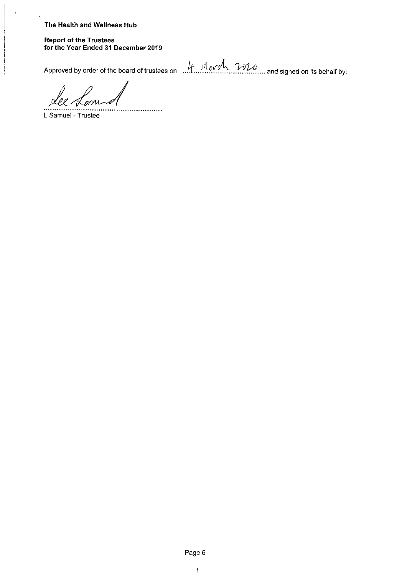÷,

**Report of the Trustees** for the Year Ended 31 December 2019

Approved by order of the board of trustees on  $\mu$  Mevel 2020 and signed on its behalf by:

L Samuel - Trustee

Page 6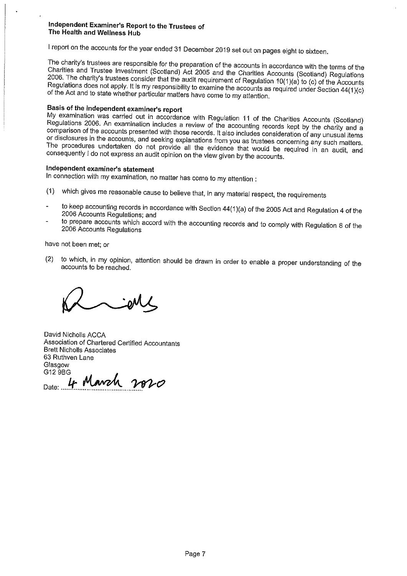I report on the accounts for the year ended 31 December 2019 set out on pages eight to sixteen.

The charity's trustees are responsible for the preparation of the accounts in accordance with the terms of the Charities and Trustee Investment (Scotland) Act 2005 and the Charities Accounts (Scotland) Regulations 2006. The charity's trustees consider that the audit requirement of Regulation 10(1)(a) to (c) of the Accounts Regulations does not apply. It is my responsibility to examine the accounts as required under Section 44(1)(c) of the Act and to state whether particular matters have come to my attention.

# Basis of the independent examiner's report

My examination was carried out in accordance with Regulation 11 of the Charities Accounts (Scotland) Regulations 2006. An examination includes a review of the accounting records kept by the charity and a comparison of the accounts presented with those records. It also includes consideration of any unusual items or disclosures in the accounts, and seeking explanations from you as trustees concerning any such matters. The procedures undertaken do not provide all the evidence that would be required in an audit, and consequently I do not express an audit opinion on the view given by the accounts.

## Independent examiner's statement

In connection with my examination, no matter has come to my attention :

- (1) which gives me reasonable cause to believe that, in any material respect, the requirements
- to keep accounting records in accordance with Section 44(1)(a) of the 2005 Act and Regulation 4 of the 2006 Accounts Regulations; and
- to prepare accounts which accord with the accounting records and to comply with Regulation 8 of the 2006 Accounts Regulations

have not been met; or

to which, in my opinion, attention should be drawn in order to enable a proper understanding of the  $(2)$ accounts to be reached.

David Nicholls ACCA Association of Chartered Certified Accountants **Brett Nicholls Associates** 63 Ruthven Lane Glasgow G12 9BG

4 March 2020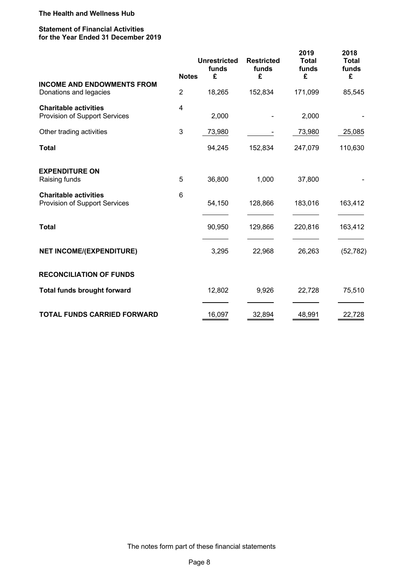#### **Statement of Financial Activities for the Year Ended 31 December 2019**

|                                                               |                 | <b>Unrestricted</b><br>funds | <b>Restricted</b><br>funds | 2019<br><b>Total</b><br>funds | 2018<br><b>Total</b><br>funds |
|---------------------------------------------------------------|-----------------|------------------------------|----------------------------|-------------------------------|-------------------------------|
| <b>INCOME AND ENDOWMENTS FROM</b>                             | <b>Notes</b>    | £                            | £                          | £                             | £                             |
| Donations and legacies                                        | $\overline{2}$  | 18,265                       | 152,834                    | 171,099                       | 85,545                        |
| <b>Charitable activities</b><br>Provision of Support Services | 4               | 2,000                        |                            | 2,000                         |                               |
| Other trading activities                                      | 3               | 73,980                       |                            | 73,980                        | 25,085                        |
| <b>Total</b>                                                  |                 | 94,245                       | 152,834                    | 247,079                       | 110,630                       |
| <b>EXPENDITURE ON</b><br>Raising funds                        | 5               | 36,800                       | 1,000                      | 37,800                        |                               |
| <b>Charitable activities</b><br>Provision of Support Services | $6\phantom{1}6$ | 54,150                       | 128,866                    | 183,016                       | 163,412                       |
| <b>Total</b>                                                  |                 | 90,950                       | 129,866                    | 220,816                       | 163,412                       |
| <b>NET INCOME/(EXPENDITURE)</b>                               |                 | 3,295                        | 22,968                     | 26,263                        | (52, 782)                     |
| <b>RECONCILIATION OF FUNDS</b>                                |                 |                              |                            |                               |                               |
| <b>Total funds brought forward</b>                            |                 | 12,802                       | 9,926                      | 22,728                        | 75,510                        |
| <b>TOTAL FUNDS CARRIED FORWARD</b>                            |                 | 16,097                       | 32,894                     | 48,991                        | 22,728                        |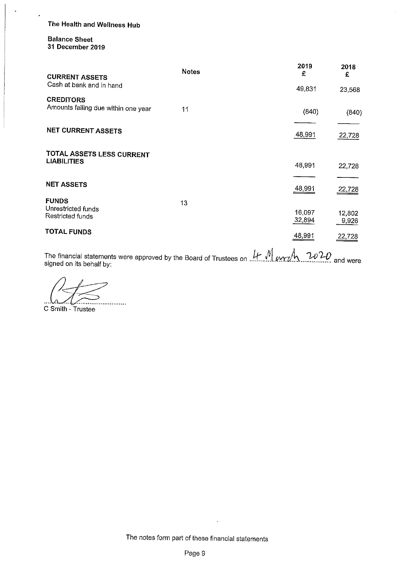## **Balance Sheet** 31 December 2019

 $\ddot{\phantom{0}}$ 

| <b>CURRENT ASSETS</b>                                   | <b>Notes</b> | 2019<br>£        | 2018<br>£       |
|---------------------------------------------------------|--------------|------------------|-----------------|
| Cash at bank and in hand                                |              | 49,831           | 23,568          |
| <b>CREDITORS</b><br>Amounts falling due within one year | 11           | (840)            | (840)           |
| <b>NET CURRENT ASSETS</b>                               |              | 48,991           | 22,728          |
| TOTAL ASSETS LESS CURRENT                               |              |                  |                 |
| <b>LIABILITIES</b>                                      |              | 48,991           | 22,728          |
| <b>NET ASSETS</b>                                       |              |                  |                 |
|                                                         |              | 48,991           | 22,728          |
| <b>FUNDS</b><br>Unrestricted funds                      | 13           |                  |                 |
| Restricted funds                                        |              | 16,097<br>32,894 | 12,802<br>9,926 |
| TOTAL FUNDS                                             |              | 48,991           | 22,728          |

The financial statements were approved by the Board of Trustees on  $\frac{1}{1}$   $\frac{1}{1}$   $\frac{1}{2}$   $\frac{1}{2}$   $\frac{20}{1}$  and were signed on its behalf by:

ى ما .<br>.........................

C Smith - Trustee

 $\ddot{\phantom{a}}$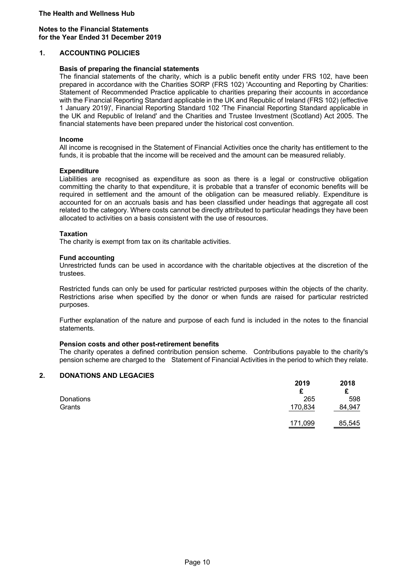#### **Notes to the Financial Statements for the Year Ended 31 December 2019**

#### **1. ACCOUNTING POLICIES**

#### **Basis of preparing the financial statements**

The financial statements of the charity, which is a public benefit entity under FRS 102, have been prepared in accordance with the Charities SORP (FRS 102) 'Accounting and Reporting by Charities: Statement of Recommended Practice applicable to charities preparing their accounts in accordance with the Financial Reporting Standard applicable in the UK and Republic of Ireland (FRS 102) (effective 1 January 2019)', Financial Reporting Standard 102 'The Financial Reporting Standard applicable in the UK and Republic of Ireland' and the Charities and Trustee Investment (Scotland) Act 2005. The financial statements have been prepared under the historical cost convention.

#### **Income**

All income is recognised in the Statement of Financial Activities once the charity has entitlement to the funds, it is probable that the income will be received and the amount can be measured reliably.

#### **Expenditure**

Liabilities are recognised as expenditure as soon as there is a legal or constructive obligation committing the charity to that expenditure, it is probable that a transfer of economic benefits will be required in settlement and the amount of the obligation can be measured reliably. Expenditure is accounted for on an accruals basis and has been classified under headings that aggregate all cost related to the category. Where costs cannot be directly attributed to particular headings they have been allocated to activities on a basis consistent with the use of resources.

#### **Taxation**

The charity is exempt from tax on its charitable activities.

#### **Fund accounting**

Unrestricted funds can be used in accordance with the charitable objectives at the discretion of the trustees.

Restricted funds can only be used for particular restricted purposes within the objects of the charity. Restrictions arise when specified by the donor or when funds are raised for particular restricted purposes.

Further explanation of the nature and purpose of each fund is included in the notes to the financial statements.

#### **Pension costs and other post-retirement benefits**

The charity operates a defined contribution pension scheme. Contributions payable to the charity's pension scheme are charged to the Statement of Financial Activities in the period to which they relate.

## **2. DONATIONS AND LEGACIES**

|           | 2019<br>£      | 2018   |
|-----------|----------------|--------|
| Donations | 265            | 598    |
| Grants    | 170,834        | 84,947 |
|           | <u>171,099</u> | 85,545 |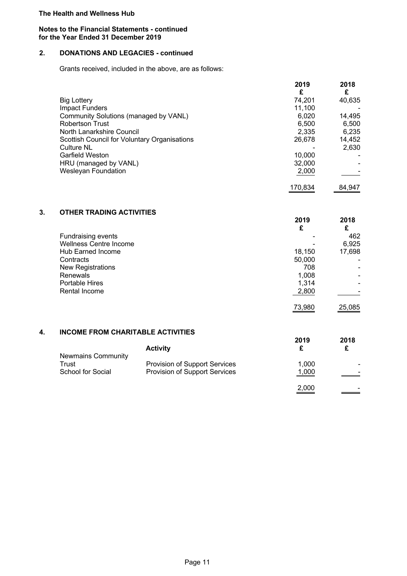## **Notes to the Financial Statements - continued for the Year Ended 31 December 2019**

# **2. DONATIONS AND LEGACIES - continued**

Grants received, included in the above, are as follows:

|                                              | 2019    | 2018   |
|----------------------------------------------|---------|--------|
|                                              | £       | £      |
| <b>Big Lottery</b>                           | 74,201  | 40,635 |
| <b>Impact Funders</b>                        | 11,100  |        |
| Community Solutions (managed by VANL)        | 6,020   | 14,495 |
| <b>Robertson Trust</b>                       | 6.500   | 6,500  |
| North Lanarkshire Council                    | 2,335   | 6,235  |
| Scottish Council for Voluntary Organisations | 26,678  | 14,452 |
| <b>Culture NL</b>                            |         | 2,630  |
| Garfield Weston                              | 10,000  |        |
| HRU (managed by VANL)                        | 32,000  |        |
| <b>Wesleyan Foundation</b>                   | 2,000   |        |
|                                              | 170,834 | 84.947 |

# **3. OTHER TRADING ACTIVITIES**

|                               | 2019   | 2018           |
|-------------------------------|--------|----------------|
|                               | £      |                |
| Fundraising events            |        | 462            |
| <b>Wellness Centre Income</b> |        | 6,925          |
| <b>Hub Earned Income</b>      | 18,150 | 17,698         |
| Contracts                     | 50,000 |                |
| <b>New Registrations</b>      | 708    |                |
| <b>Renewals</b>               | 1,008  |                |
| <b>Portable Hires</b>         | 1,314  | $\blacksquare$ |
| Rental Income                 | 2,800  |                |
|                               | 73,980 | 25,085         |
|                               |        |                |

## **4. INCOME FROM CHARITABLE ACTIVITIES**

|                           |                               | 2019  | 2018                     |
|---------------------------|-------------------------------|-------|--------------------------|
| <b>Newmains Community</b> | <b>Activity</b>               |       |                          |
| Trust                     | Provision of Support Services | 1,000 |                          |
| School for Social         | Provision of Support Services | 1,000 | $\overline{\phantom{0}}$ |
|                           |                               | 2,000 |                          |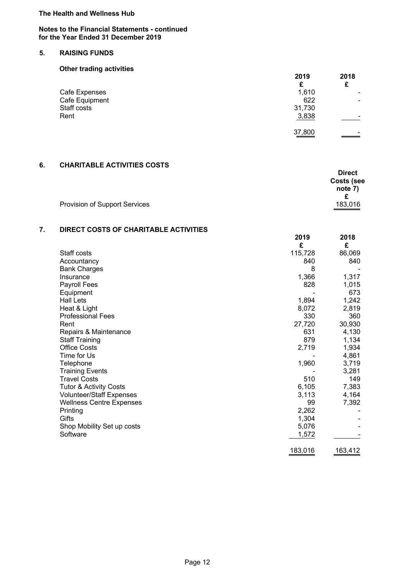## **Notes to the Financial Statements - continued for the Year Ended 31 December 2019**

# **5. RAISING FUNDS**

# **Other trading activities**

|                               | 2019          | 2018 |
|-------------------------------|---------------|------|
|                               | £             | £    |
| Cafe Expenses                 | 1,610         |      |
| Cafe Equipment<br>Staff costs | 622<br>31,730 |      |
| Rent                          | 3,838         |      |
|                               | 37,800        |      |

# **6. CHARITABLE ACTIVITIES COSTS**

|                                      | <b>Direct</b>     |
|--------------------------------------|-------------------|
|                                      | <b>Costs (see</b> |
|                                      | note 7)           |
|                                      |                   |
| <b>Provision of Support Services</b> | 183,016           |

# **7. DIRECT COSTS OF CHARITABLE ACTIVITIES**

|                                   | 2019<br>£ | 2018<br>£ |
|-----------------------------------|-----------|-----------|
| Staff costs                       | 115,728   | 86,069    |
| Accountancy                       | 840       | 840       |
| <b>Bank Charges</b>               | 8         |           |
| Insurance                         | 1,366     | 1,317     |
| Payroll Fees                      | 828       | 1,015     |
| Equipment                         |           | 673       |
| <b>Hall Lets</b>                  | 1,894     | 1,242     |
| Heat & Light                      | 8,072     | 2,819     |
| <b>Professional Fees</b>          | 330       | 360       |
| Rent                              | 27,720    | 30,930    |
| Repairs & Maintenance             | 631       | 4,130     |
| <b>Staff Training</b>             | 879       | 1,134     |
| <b>Office Costs</b>               | 2,719     | 1,934     |
| Time for Us                       |           | 4,861     |
| Telephone                         | 1,960     | 3,719     |
| <b>Training Events</b>            |           | 3,281     |
| <b>Travel Costs</b>               | 510       | 149       |
| <b>Tutor &amp; Activity Costs</b> | 6,105     | 7,383     |
| <b>Volunteer/Staff Expenses</b>   | 3,113     | 4,164     |
| <b>Wellness Centre Expenses</b>   | 99        | 7,392     |
| Printing                          | 2,262     |           |
| Gifts                             | 1,304     |           |
| Shop Mobility Set up costs        | 5,076     |           |
| Software                          | 1,572     |           |
|                                   | 183,016   | 163,412   |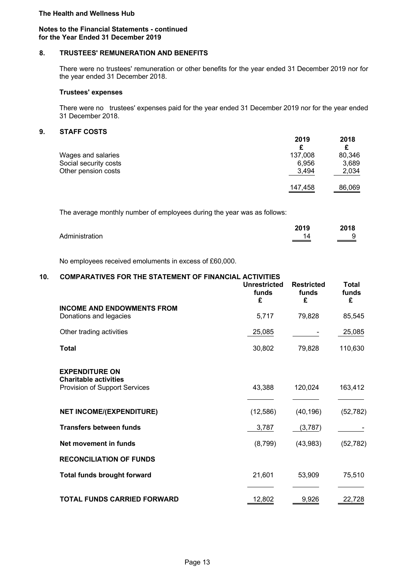## **Notes to the Financial Statements - continued for the Year Ended 31 December 2019**

# **8. TRUSTEES' REMUNERATION AND BENEFITS**

There were no trustees' remuneration or other benefits for the year ended 31 December 2019 nor for the year ended 31 December 2018.

# **Trustees' expenses**

There were no trustees' expenses paid for the year ended 31 December 2019 nor for the year ended 31 December 2018.

# **9. STAFF COSTS**

|                       | 2019<br>£ | 2018   |
|-----------------------|-----------|--------|
| Wages and salaries    | 137,008   | 80,346 |
| Social security costs | 6,956     | 3,689  |
| Other pension costs   | 3,494     | 2,034  |
|                       | 147,458   | 86,069 |

The average monthly number of employees during the year was as follows:

|                | 2019            | 2018       |
|----------------|-----------------|------------|
| Administration | 14<br>_________ | 9<br>_____ |

No employees received emoluments in excess of £60,000.

# **10. COMPARATIVES FOR THE STATEMENT OF FINANCIAL ACTIVITIES**

|                                                                                        | <b>Unrestricted</b><br>funds<br>£ | <b>Restricted</b><br>funds<br>£ | <b>Total</b><br>funds<br>£ |
|----------------------------------------------------------------------------------------|-----------------------------------|---------------------------------|----------------------------|
| <b>INCOME AND ENDOWMENTS FROM</b><br>Donations and legacies                            | 5,717                             | 79,828                          | 85,545                     |
| Other trading activities                                                               | 25,085                            |                                 | 25,085                     |
| <b>Total</b>                                                                           | 30,802                            | 79,828                          | 110,630                    |
| <b>EXPENDITURE ON</b><br><b>Charitable activities</b><br>Provision of Support Services | 43,388                            | 120,024                         | 163,412                    |
| <b>NET INCOME/(EXPENDITURE)</b>                                                        | (12, 586)                         | (40, 196)                       | (52, 782)                  |
| <b>Transfers between funds</b>                                                         | 3,787                             | (3,787)                         |                            |
| Net movement in funds                                                                  | (8,799)                           | (43,983)                        | (52, 782)                  |
| <b>RECONCILIATION OF FUNDS</b>                                                         |                                   |                                 |                            |
| <b>Total funds brought forward</b>                                                     | 21,601                            | 53,909                          | 75,510                     |
| <b>TOTAL FUNDS CARRIED FORWARD</b>                                                     | 12,802                            | 9,926                           | 22,728                     |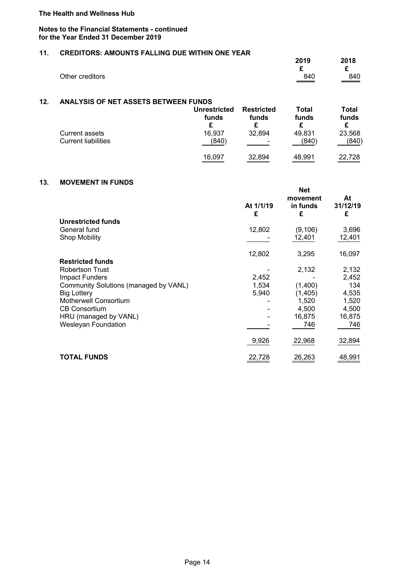#### **Notes to the Financial Statements - continued for the Year Ended 31 December 2019**

## **11. CREDITORS: AMOUNTS FALLING DUE WITHIN ONE YEAR**

|                 | 2019    | 2018              |
|-----------------|---------|-------------------|
| Other creditors | 840     | ~<br>840          |
|                 | _______ | $\equiv$ $\equiv$ |

## **12. ANALYSIS OF NET ASSETS BETWEEN FUNDS**

|                            | <b>Unrestricted</b> | <b>Restricted</b>        | Total  | Total  |
|----------------------------|---------------------|--------------------------|--------|--------|
|                            | funds               | funds                    | funds  | funds  |
| <b>Current assets</b>      | 16,937              | 32,894                   | 49,831 | 23,568 |
| <b>Current liabilities</b> | (840)               | $\overline{\phantom{0}}$ | (840)  | (840)  |
|                            | 16,097              | 32,894                   | 48,991 | 22,728 |

## **13. MOVEMENT IN FUNDS**

|                                       | At 1/1/19<br>£ | <b>Net</b><br>movement<br>in funds<br>£ | At<br>31/12/19<br>£ |
|---------------------------------------|----------------|-----------------------------------------|---------------------|
| <b>Unrestricted funds</b>             |                |                                         |                     |
| General fund                          | 12,802         | (9, 106)                                | 3,696               |
| <b>Shop Mobility</b>                  |                | 12,401                                  | 12,401              |
|                                       | 12,802         | 3,295                                   | 16,097              |
| <b>Restricted funds</b>               |                |                                         |                     |
| <b>Robertson Trust</b>                |                | 2,132                                   | 2,132               |
| <b>Impact Funders</b>                 | 2,452          |                                         | 2,452               |
| Community Solutions (managed by VANL) | 1,534          | (1,400)                                 | 134                 |
| <b>Big Lottery</b>                    | 5,940          | (1, 405)                                | 4,535               |
| <b>Motherwell Consortium</b>          |                | 1,520                                   | 1,520               |
| <b>CB Consortium</b>                  |                | 4,500                                   | 4,500               |
| HRU (managed by VANL)                 |                | 16,875                                  | 16,875              |
| <b>Wesleyan Foundation</b>            |                | 746                                     | 746                 |
|                                       | 9,926          | 22,968                                  | 32,894              |
| <b>TOTAL FUNDS</b>                    | 22,728         | 26,263                                  | 48,991              |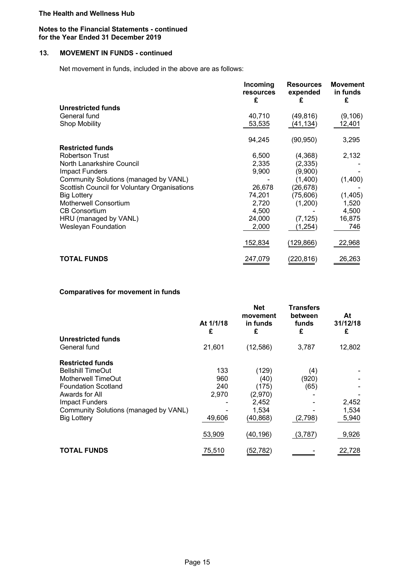#### **Notes to the Financial Statements - continued for the Year Ended 31 December 2019**

# **13. MOVEMENT IN FUNDS - continued**

Net movement in funds, included in the above are as follows:

|                                              | Incoming<br>resources<br>£ | <b>Resources</b><br>expended<br>£ | <b>Movement</b><br>in funds<br>£ |
|----------------------------------------------|----------------------------|-----------------------------------|----------------------------------|
| <b>Unrestricted funds</b>                    |                            |                                   |                                  |
| General fund                                 | 40,710                     | (49, 816)                         | (9, 106)                         |
| <b>Shop Mobility</b>                         | 53,535                     | (41, 134)                         | 12,401                           |
|                                              | 94,245                     | (90, 950)                         | 3,295                            |
| <b>Restricted funds</b>                      |                            |                                   |                                  |
| <b>Robertson Trust</b>                       | 6,500                      | (4,368)                           | 2,132                            |
| North Lanarkshire Council                    | 2,335                      | (2, 335)                          |                                  |
| <b>Impact Funders</b>                        | 9,900                      | (9,900)                           |                                  |
| Community Solutions (managed by VANL)        |                            | (1,400)                           | (1,400)                          |
| Scottish Council for Voluntary Organisations | 26,678                     | (26, 678)                         |                                  |
| <b>Big Lottery</b>                           | 74,201                     | (75,606)                          | (1,405)                          |
| <b>Motherwell Consortium</b>                 | 2,720                      | (1,200)                           | 1,520                            |
| <b>CB Consortium</b>                         | 4,500                      |                                   | 4,500                            |
| HRU (managed by VANL)                        | 24,000                     | (7, 125)                          | 16,875                           |
| <b>Wesleyan Foundation</b>                   | 2,000                      | (1,254)                           | 746                              |
|                                              | 152,834                    | (129, 866)                        | 22,968                           |
| <b>TOTAL FUNDS</b>                           | 247,079                    | (220,816)                         | 26,263                           |

## **Comparatives for movement in funds**

|                                       | At 1/1/18<br>£ | <b>Net</b><br>movement<br>in funds<br>£ | <b>Transfers</b><br>between<br>funds<br>£ | At<br>31/12/18<br>£ |
|---------------------------------------|----------------|-----------------------------------------|-------------------------------------------|---------------------|
| Unrestricted funds                    |                |                                         |                                           |                     |
| General fund                          | 21,601         | (12, 586)                               | 3,787                                     | 12,802              |
| <b>Restricted funds</b>               |                |                                         |                                           |                     |
| <b>Bellshill TimeOut</b>              | 133            | (129)                                   | (4)                                       |                     |
| Motherwell TimeOut                    | 960            | (40)                                    | (920)                                     |                     |
| <b>Foundation Scotland</b>            | 240            | (175)                                   | (65)                                      |                     |
| Awards for All                        | 2,970          | (2,970)                                 |                                           |                     |
| <b>Impact Funders</b>                 |                | 2,452                                   |                                           | 2,452               |
| Community Solutions (managed by VANL) |                | 1,534                                   |                                           | 1,534               |
| <b>Big Lottery</b>                    | 49,606         | (40, 868)                               | (2,798)                                   | 5,940               |
|                                       | 53,909         | (40,196)                                | (3,787)                                   | 9,926               |
| <b>TOTAL FUNDS</b>                    | 75,510         | (52, 782)                               |                                           | 22,728              |